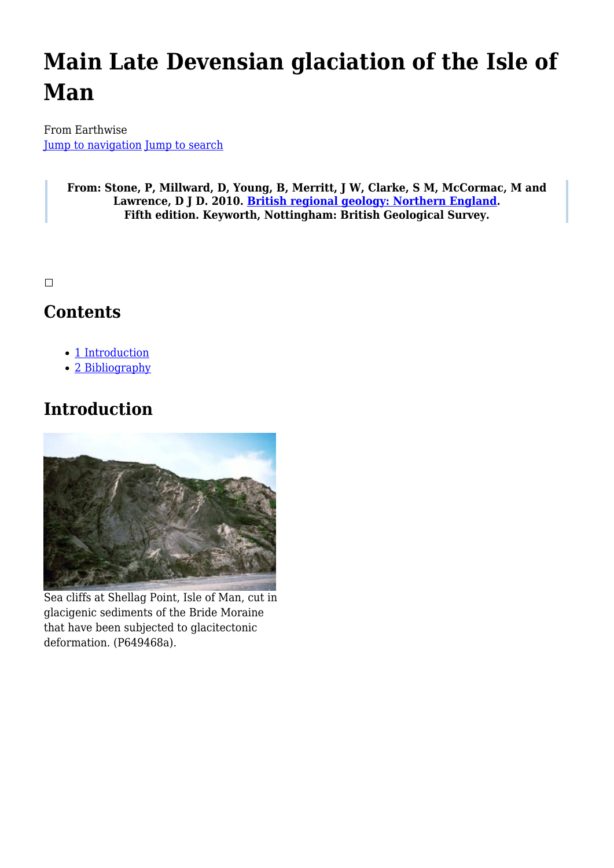# **Main Late Devensian glaciation of the Isle of Man**

From Earthwise [Jump to navigation](#page--1-0) [Jump to search](#page--1-0)

> **From: Stone, P, Millward, D, Young, B, Merritt, J W, Clarke, S M, McCormac, M and Lawrence, D J D. 2010. [British regional geology: Northern England.](http://earthwise.bgs.ac.uk/index.php/British_regional_geology:_Northern_England) Fifth edition. Keyworth, Nottingham: British Geological Survey.**

 $\Box$ 

## **Contents**

- [1](#page--1-0) [Introduction](#page--1-0)
- [2](#page--1-0) [Bibliography](#page--1-0)

# **Introduction**



Sea cliffs at Shellag Point, Isle of Man, cut in glacigenic sediments of the Bride Moraine that have been subjected to glacitectonic deformation. (P649468a).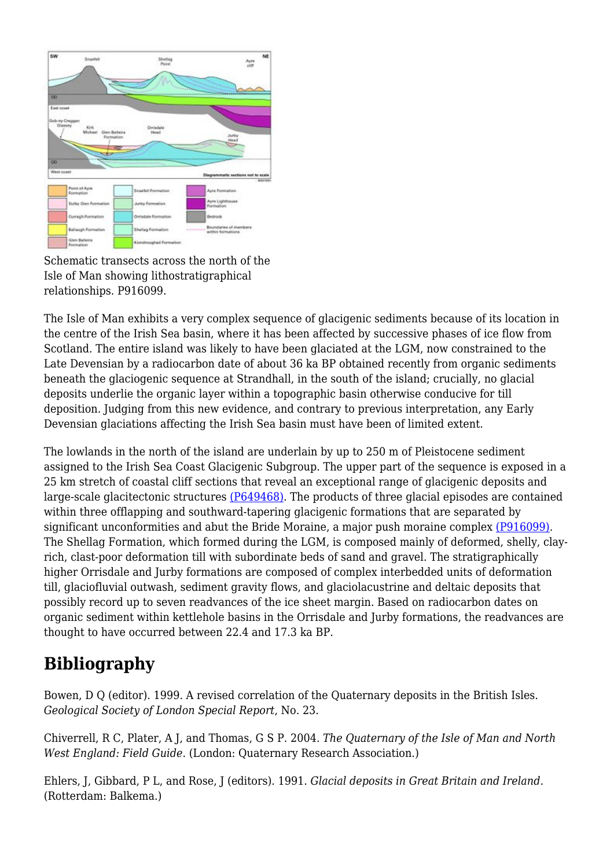

Schematic transects across the north of the Isle of Man showing lithostratigraphical relationships. P916099.

The Isle of Man exhibits a very complex sequence of glacigenic sediments because of its location in the centre of the Irish Sea basin, where it has been affected by successive phases of ice flow from Scotland. The entire island was likely to have been glaciated at the LGM, now constrained to the Late Devensian by a radiocarbon date of about 36 ka BP obtained recently from organic sediments beneath the glaciogenic sequence at Strandhall, in the south of the island; crucially, no glacial deposits underlie the organic layer within a topographic basin otherwise conducive for till deposition. Judging from this new evidence, and contrary to previous interpretation, any Early Devensian glaciations affecting the Irish Sea basin must have been of limited extent.

The lowlands in the north of the island are underlain by up to 250 m of Pleistocene sediment assigned to the Irish Sea Coast Glacigenic Subgroup. The upper part of the sequence is exposed in a 25 km stretch of coastal cliff sections that reveal an exceptional range of glacigenic deposits and large-scale glacitectonic structures [\(P649468\)](http://earthwise.bgs.ac.uk/images/5/52/P649468.jpg). The products of three glacial episodes are contained within three offlapping and southward-tapering glacigenic formations that are separated by significant unconformities and abut the Bride Moraine, a major push moraine complex [\(P916099\)](http://earthwise.bgs.ac.uk/images/9/98/P916099.jpg). The Shellag Formation, which formed during the LGM, is composed mainly of deformed, shelly, clayrich, clast-poor deformation till with subordinate beds of sand and gravel. The stratigraphically higher Orrisdale and Jurby formations are composed of complex interbedded units of deformation till, glaciofluvial outwash, sediment gravity flows, and glaciolacustrine and deltaic deposits that possibly record up to seven readvances of the ice sheet margin. Based on radiocarbon dates on organic sediment within kettlehole basins in the Orrisdale and Jurby formations, the readvances are thought to have occurred between 22.4 and 17.3 ka BP.

# **Bibliography**

Bowen, D Q (editor). 1999. A revised correlation of the Quaternary deposits in the British Isles. *Geological Society of London Special Report*, No. 23.

Chiverrell, R C, Plater, A J, and Thomas, G S P. 2004. *The Quaternary of the Isle of Man and North West England: Field Guide*. (London: Quaternary Research Association.)

Ehlers, J, Gibbard, P L, and Rose, J (editors). 1991. *Glacial deposits in Great Britain and Ireland*. (Rotterdam: Balkema.)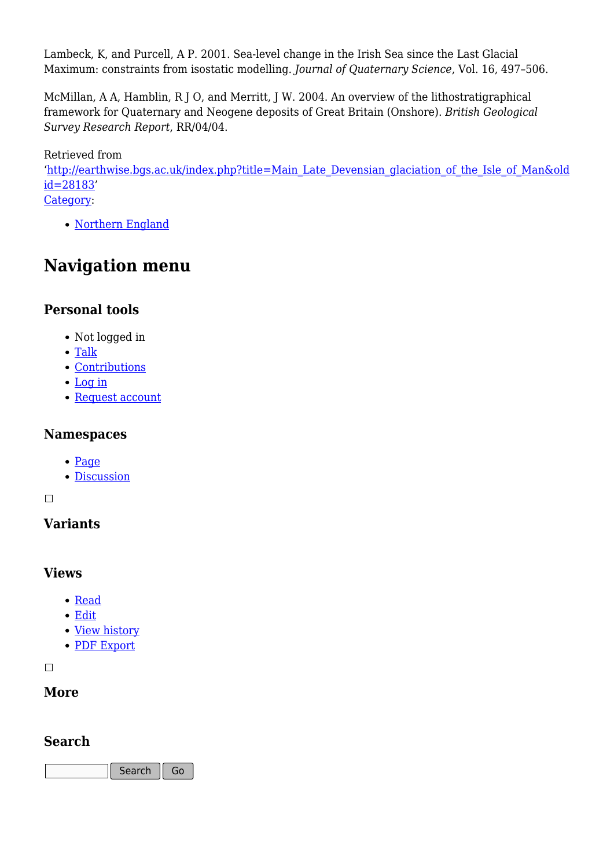Lambeck, K, and Purcell, A P. 2001. Sea-level change in the Irish Sea since the Last Glacial Maximum: constraints from isostatic modelling. *Journal of Quaternary Science*, Vol. 16, 497–506.

McMillan, A A, Hamblin, R J O, and Merritt, J W. 2004. An overview of the lithostratigraphical framework for Quaternary and Neogene deposits of Great Britain (Onshore). *British Geological Survey Research Report*, RR/04/04.

Retrieved from '[http://earthwise.bgs.ac.uk/index.php?title=Main\\_Late\\_Devensian\\_glaciation\\_of\\_the\\_Isle\\_of\\_Man&old](http://earthwise.bgs.ac.uk/index.php?title=Main_Late_Devensian_glaciation_of_the_Isle_of_Man&oldid=28183) [id=28183'](http://earthwise.bgs.ac.uk/index.php?title=Main_Late_Devensian_glaciation_of_the_Isle_of_Man&oldid=28183) [Category](http://earthwise.bgs.ac.uk/index.php/Special:Categories):

• [Northern England](http://earthwise.bgs.ac.uk/index.php/Category:Northern_England)

# **Navigation menu**

### **Personal tools**

- Not logged in
- [Talk](http://earthwise.bgs.ac.uk/index.php/Special:MyTalk)
- [Contributions](http://earthwise.bgs.ac.uk/index.php/Special:MyContributions)
- [Log in](http://earthwise.bgs.ac.uk/index.php?title=Special:UserLogin&returnto=Main+Late+Devensian+glaciation+of+the+Isle+of+Man&returntoquery=action%3Dmpdf)
- [Request account](http://earthwise.bgs.ac.uk/index.php/Special:RequestAccount)

#### **Namespaces**

- [Page](http://earthwise.bgs.ac.uk/index.php/Main_Late_Devensian_glaciation_of_the_Isle_of_Man)
- [Discussion](http://earthwise.bgs.ac.uk/index.php?title=Talk:Main_Late_Devensian_glaciation_of_the_Isle_of_Man&action=edit&redlink=1)

 $\Box$ 

### **Variants**

#### **Views**

- [Read](http://earthwise.bgs.ac.uk/index.php/Main_Late_Devensian_glaciation_of_the_Isle_of_Man)
- [Edit](http://earthwise.bgs.ac.uk/index.php?title=Main_Late_Devensian_glaciation_of_the_Isle_of_Man&action=edit)
- [View history](http://earthwise.bgs.ac.uk/index.php?title=Main_Late_Devensian_glaciation_of_the_Isle_of_Man&action=history)
- [PDF Export](http://earthwise.bgs.ac.uk/index.php?title=Main_Late_Devensian_glaciation_of_the_Isle_of_Man&action=mpdf)

 $\blacksquare$ 

#### **More**

#### **Search**

Search Go